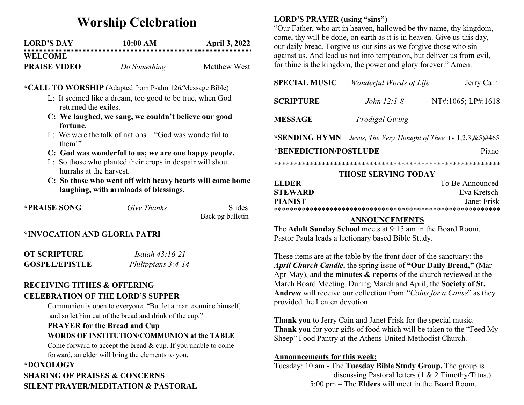# Worship Celebration

| <b>LORD'S DAY</b>   | 10:00 AM     | <b>April 3, 2022</b> |
|---------------------|--------------|----------------------|
| <b>WELCOME</b>      |              |                      |
| <b>PRAISE VIDEO</b> | Do Something | Matthew West         |

#### \*CALL TO WORSHIP (Adapted from Psalm 126/Message Bible)

- L: It seemed like a dream, too good to be true, when God returned the exiles.
- C: We laughed, we sang, we couldn't believe our good fortune.
- L: We were the talk of nations  $-$  "God was wonderful to them!"
- C: God was wonderful to us; we are one happy people.
- L: So those who planted their crops in despair will shout hurrahs at the harvest.
- C: So those who went off with heavy hearts will come home laughing, with armloads of blessings.

| *PRAISE SONG                                                                                                                                                                                                                                                                                                | Give Thanks | <b>Slides</b>    |
|-------------------------------------------------------------------------------------------------------------------------------------------------------------------------------------------------------------------------------------------------------------------------------------------------------------|-------------|------------------|
|                                                                                                                                                                                                                                                                                                             |             | Back pg bulletin |
| $\mathbf{r}$ , $\mathbf{r}$ , $\mathbf{r}$ , $\mathbf{r}$ , $\mathbf{r}$ , $\mathbf{r}$ , $\mathbf{r}$ , $\mathbf{r}$ , $\mathbf{r}$ , $\mathbf{r}$ , $\mathbf{r}$ , $\mathbf{r}$ , $\mathbf{r}$ , $\mathbf{r}$ , $\mathbf{r}$ , $\mathbf{r}$ , $\mathbf{r}$ , $\mathbf{r}$ , $\mathbf{r}$ , $\mathbf{r}$ , |             |                  |

## \*INVOCATION AND GLORIA PATRI

| <b>OT SCRIPTURE</b>   | <i>Isaiah 43:16-21</i> |
|-----------------------|------------------------|
| <b>GOSPEL/EPISTLE</b> | Philippians $3:4-14$   |

# RECEIVING TITHES & OFFERING CELEBRATION OF THE LORD'S SUPPER

Communion is open to everyone. "But let a man examine himself, and so let him eat of the bread and drink of the cup."

# PRAYER for the Bread and Cup WORDS OF INSTITUTION/COMMUNION at the TABLE

Come forward to accept the bread & cup. If you unable to come forward, an elder will bring the elements to you.

## \*DOXOLOGY

# SHARING OF PRAISES & CONCERNS SILENT PRAYER/MEDITATION & PASTORAL

# LORD'S PRAYER (using "sins")

"Our Father, who art in heaven, hallowed be thy name, thy kingdom, come, thy will be done, on earth as it is in heaven. Give us this day, our daily bread. Forgive us our sins as we forgive those who sin against us. And lead us not into temptation, but deliver us from evil, for thine is the kingdom, the power and glory forever." Amen.

| <b>SPECIAL MUSIC</b>           | Wonderful Words of Life                               | Jerry Cain         |
|--------------------------------|-------------------------------------------------------|--------------------|
| <b>SCRIPTURE</b>               | <i>John</i> $12:1-8$                                  | NT#:1065; LP#:1618 |
| <b>MESSAGE</b>                 | <b>Prodigal Giving</b>                                |                    |
| *SENDING HYMN                  | Jesus, The Very Thought of Thee $(v\ 1,2,3,8.5)$ #465 |                    |
| *BENEDICTION/POSTLUDE<br>Piano |                                                       |                    |

#### \*\*\*\*\*\*\*\*\*\*\*\*\*\*\*\*\*\*\*\*\*\*\*\*\*\*\*\*\*\*\*\*\*\*\*\*\*\*\*\*\*\*\*\*\*\*\*\*\*\*\*\*\*\*\*\*\*

### THOSE SERVING TODAY

| <b>ELDER</b>   | To Be Announced |
|----------------|-----------------|
| <b>STEWARD</b> | Eva Kretsch     |
| <b>PIANIST</b> | Janet Frisk     |
|                |                 |

## ANNOUNCEMENTS

The Adult Sunday School meets at 9:15 am in the Board Room. Pastor Paula leads a lectionary based Bible Study.

These items are at the table by the front door of the sanctuary: the April Church Candle, the spring issue of "Our Daily Bread," (Mar-Apr-May), and the **minutes**  $\&$  **reports** of the church reviewed at the March Board Meeting. During March and April, the Society of St. Andrew will receive our collection from "Coins for a Cause" as they provided the Lenten devotion.

Thank you to Jerry Cain and Janet Frisk for the special music. Thank you for your gifts of food which will be taken to the "Feed My Sheep" Food Pantry at the Athens United Methodist Church.

## Announcements for this week:

Tuesday: 10 am - The Tuesday Bible Study Group. The group is discussing Pastoral letters (1 & 2 Timothy/Titus.) 5:00 pm – The Elders will meet in the Board Room.